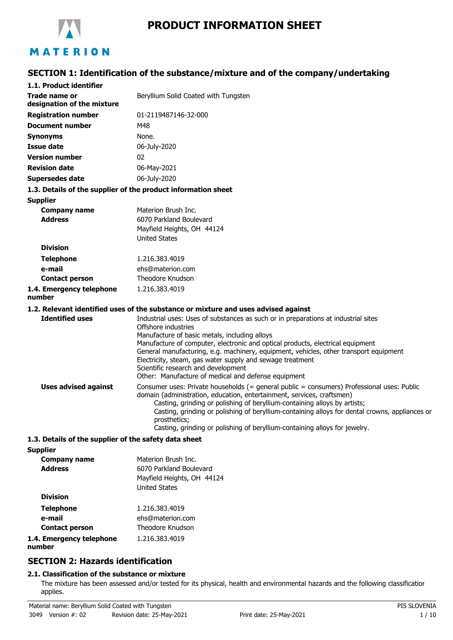

# **PRODUCT INFORMATION SHEET**

# **SECTION 1: Identification of the substance/mixture and of the company/undertaking**

| 1.1. Product identifier                     |                                                                                                                                                                                                                                                                                                                                                                                                                                                                                                  |  |  |  |
|---------------------------------------------|--------------------------------------------------------------------------------------------------------------------------------------------------------------------------------------------------------------------------------------------------------------------------------------------------------------------------------------------------------------------------------------------------------------------------------------------------------------------------------------------------|--|--|--|
| Trade name or<br>designation of the mixture | Beryllium Solid Coated with Tungsten                                                                                                                                                                                                                                                                                                                                                                                                                                                             |  |  |  |
| <b>Registration number</b>                  | 01-2119487146-32-000                                                                                                                                                                                                                                                                                                                                                                                                                                                                             |  |  |  |
| <b>Document number</b>                      | M48                                                                                                                                                                                                                                                                                                                                                                                                                                                                                              |  |  |  |
| <b>Synonyms</b>                             | None.                                                                                                                                                                                                                                                                                                                                                                                                                                                                                            |  |  |  |
| <b>Issue date</b>                           | 06-July-2020                                                                                                                                                                                                                                                                                                                                                                                                                                                                                     |  |  |  |
| <b>Version number</b>                       | 02                                                                                                                                                                                                                                                                                                                                                                                                                                                                                               |  |  |  |
| <b>Revision date</b>                        | 06-May-2021                                                                                                                                                                                                                                                                                                                                                                                                                                                                                      |  |  |  |
| <b>Supersedes date</b>                      | 06-July-2020                                                                                                                                                                                                                                                                                                                                                                                                                                                                                     |  |  |  |
|                                             | 1.3. Details of the supplier of the product information sheet                                                                                                                                                                                                                                                                                                                                                                                                                                    |  |  |  |
| <b>Supplier</b>                             |                                                                                                                                                                                                                                                                                                                                                                                                                                                                                                  |  |  |  |
| <b>Company name</b><br><b>Address</b>       | Materion Brush Inc.<br>6070 Parkland Boulevard<br>Mayfield Heights, OH 44124<br><b>United States</b>                                                                                                                                                                                                                                                                                                                                                                                             |  |  |  |
| <b>Division</b>                             |                                                                                                                                                                                                                                                                                                                                                                                                                                                                                                  |  |  |  |
| <b>Telephone</b>                            | 1.216.383.4019                                                                                                                                                                                                                                                                                                                                                                                                                                                                                   |  |  |  |
| e-mail                                      | ehs@materion.com                                                                                                                                                                                                                                                                                                                                                                                                                                                                                 |  |  |  |
| <b>Contact person</b>                       | Theodore Knudson                                                                                                                                                                                                                                                                                                                                                                                                                                                                                 |  |  |  |
| 1.4. Emergency telephone<br>number          | 1.216.383.4019                                                                                                                                                                                                                                                                                                                                                                                                                                                                                   |  |  |  |
|                                             | 1.2. Relevant identified uses of the substance or mixture and uses advised against                                                                                                                                                                                                                                                                                                                                                                                                               |  |  |  |
| <b>Identified uses</b>                      | Industrial uses: Uses of substances as such or in preparations at industrial sites<br>Offshore industries<br>Manufacture of basic metals, including alloys<br>Manufacture of computer, electronic and optical products, electrical equipment<br>General manufacturing, e.g. machinery, equipment, vehicles, other transport equipment<br>Electricity, steam, gas water supply and sewage treatment<br>Scientific research and development<br>Other: Manufacture of medical and defense equipment |  |  |  |
| <b>Uses advised against</b>                 | Consumer uses: Private households (= general public = consumers) Professional uses: Public<br>domain (administration, education, entertainment, services, craftsmen)<br>Casting, grinding or polishing of beryllium-containing alloys by artists;<br>Casting, grinding or polishing of beryllium-containing alloys for dental crowns, appliances or<br>prosthetics;<br>Casting, grinding or polishing of beryllium-containing alloys for jewelry.                                                |  |  |  |

#### **1.3. Details of the supplier of the safety data sheet**

**Supplier**

| Materion Brush Inc.<br>6070 Parkland Boulevard<br>Mayfield Heights, OH 44124<br><b>United States</b> |
|------------------------------------------------------------------------------------------------------|
|                                                                                                      |
| 1.216.383.4019                                                                                       |
| ehs@materion.com                                                                                     |
| Theodore Knudson                                                                                     |
| 1.216.383.4019                                                                                       |
|                                                                                                      |

# **SECTION 2: Hazards identification**

# **2.1. Classification of the substance or mixture**

The mixture has been assessed and/or tested for its physical, health and environmental hazards and the following classification applies.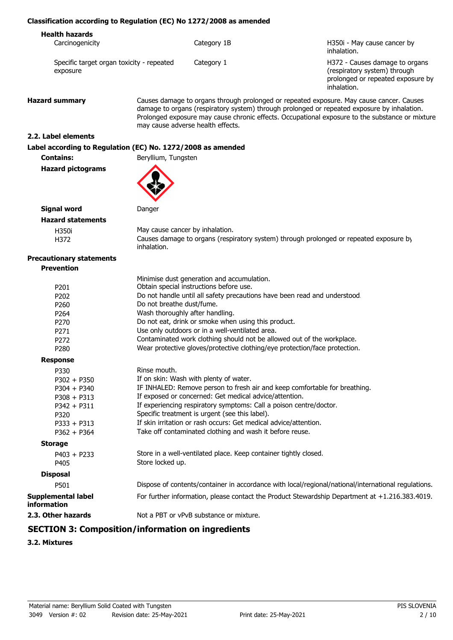## **Classification according to Regulation (EC) No 1272/2008 as amended**

| <b>Health hazards</b>                                 |             |                                                                                                                    |
|-------------------------------------------------------|-------------|--------------------------------------------------------------------------------------------------------------------|
| Carcinogenicity                                       | Category 1B | H350i - May cause cancer by<br>inhalation.                                                                         |
| Specific target organ toxicity - repeated<br>exposure | Category 1  | H372 - Causes damage to organs<br>(respiratory system) through<br>prolonged or repeated exposure by<br>inhalation. |

**Hazard summary** Causes damage to organs through prolonged or repeated exposure. May cause cancer. Causes damage to organs (respiratory system) through prolonged or repeated exposure by inhalation. Prolonged exposure may cause chronic effects. Occupational exposure to the substance or mixture may cause adverse health effects.

## **2.2. Label elements**

## **Label according to Regulation (EC) No. 1272/2008 as amended**

**Contains:** Beryllium, Tungsten

**Hazard pictograms**



| Signal word              | Danger                                                                                                |
|--------------------------|-------------------------------------------------------------------------------------------------------|
| <b>Hazard statements</b> |                                                                                                       |
| H350i                    | May cause cancer by inhalation.                                                                       |
| H372                     | Causes damage to organs (respiratory system) through prolonged or repeated exposure by<br>inhalation. |
|                          |                                                                                                       |

#### **Precautionary statements Prevention**

|                                                     | Minimise dust generation and accumulation.                                                          |  |
|-----------------------------------------------------|-----------------------------------------------------------------------------------------------------|--|
| P <sub>201</sub>                                    | Obtain special instructions before use.                                                             |  |
| P <sub>202</sub>                                    | Do not handle until all safety precautions have been read and understood.                           |  |
| Do not breathe dust/fume.<br>P <sub>260</sub>       |                                                                                                     |  |
| Wash thoroughly after handling.<br>P <sub>264</sub> |                                                                                                     |  |
| P <sub>270</sub>                                    | Do not eat, drink or smoke when using this product.                                                 |  |
| P <sub>271</sub>                                    | Use only outdoors or in a well-ventilated area.                                                     |  |
| P <sub>272</sub>                                    | Contaminated work clothing should not be allowed out of the workplace.                              |  |
| P <sub>280</sub>                                    | Wear protective gloves/protective clothing/eye protection/face protection.                          |  |
| <b>Response</b>                                     |                                                                                                     |  |
| P330                                                | Rinse mouth.                                                                                        |  |
| $P302 + P350$                                       | If on skin: Wash with plenty of water.                                                              |  |
| $P304 + P340$                                       | IF INHALED: Remove person to fresh air and keep comfortable for breathing.                          |  |
| $P308 + P313$                                       | If exposed or concerned: Get medical advice/attention.                                              |  |
| $P342 + P311$                                       | If experiencing respiratory symptoms: Call a poison centre/doctor.                                  |  |
| P320                                                | Specific treatment is urgent (see this label).                                                      |  |
| $P333 + P313$                                       | If skin irritation or rash occurs: Get medical advice/attention.                                    |  |
| $P362 + P364$                                       | Take off contaminated clothing and wash it before reuse.                                            |  |
| <b>Storage</b>                                      |                                                                                                     |  |
| $P403 + P233$                                       | Store in a well-ventilated place. Keep container tightly closed.                                    |  |
| P405                                                | Store locked up.                                                                                    |  |
| <b>Disposal</b>                                     |                                                                                                     |  |
| P501                                                | Dispose of contents/container in accordance with local/regional/national/international regulations. |  |
| <b>Supplemental label</b><br><b>information</b>     | For further information, please contact the Product Stewardship Department at +1.216.383.4019.      |  |
| 2.3. Other hazards                                  | Not a PBT or vPvB substance or mixture.                                                             |  |
|                                                     |                                                                                                     |  |

# **SECTION 3: Composition/information on ingredients**

**3.2. Mixtures**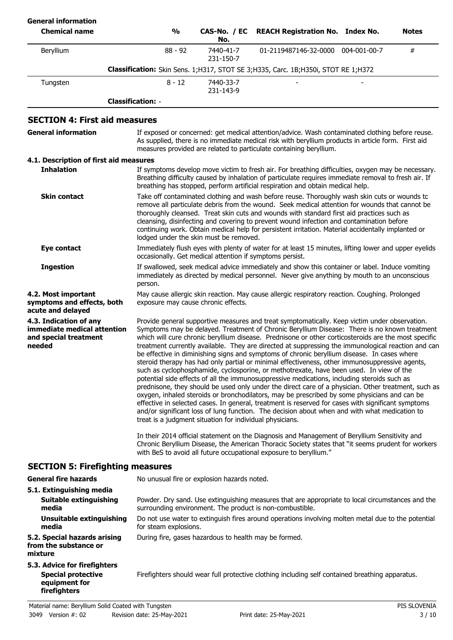| <b>General information</b><br><b>Chemical name</b> |                          | %         | No.                    | CAS-No. / EC REACH Registration No. Index No.                                         |              | <b>Notes</b> |
|----------------------------------------------------|--------------------------|-----------|------------------------|---------------------------------------------------------------------------------------|--------------|--------------|
| Beryllium                                          |                          | $88 - 92$ | 7440-41-7<br>231-150-7 | 01-2119487146-32-0000                                                                 | 004-001-00-7 | #            |
|                                                    |                          |           |                        | Classification: Skin Sens. 1; H317, STOT SE 3; H335, Carc. 1B; H350i, STOT RE 1; H372 |              |              |
| Tungsten                                           |                          | $8 - 12$  | 7440-33-7<br>231-143-9 |                                                                                       | -            |              |
|                                                    | <b>Classification: -</b> |           |                        |                                                                                       |              |              |

## **SECTION 4: First aid measures**

| <b>General information</b>                                                                 | If exposed or concerned: get medical attention/advice. Wash contaminated clothing before reuse.<br>As supplied, there is no immediate medical risk with beryllium products in article form. First aid<br>measures provided are related to particulate containing beryllium.                                                                                                                                                                                                                                                                                                                                                                                                                                                                                                                                                                                                                                                                                                                                                                                                                                                                                                                                                                                                                                                                                                                                                                                                                                                                                  |
|--------------------------------------------------------------------------------------------|--------------------------------------------------------------------------------------------------------------------------------------------------------------------------------------------------------------------------------------------------------------------------------------------------------------------------------------------------------------------------------------------------------------------------------------------------------------------------------------------------------------------------------------------------------------------------------------------------------------------------------------------------------------------------------------------------------------------------------------------------------------------------------------------------------------------------------------------------------------------------------------------------------------------------------------------------------------------------------------------------------------------------------------------------------------------------------------------------------------------------------------------------------------------------------------------------------------------------------------------------------------------------------------------------------------------------------------------------------------------------------------------------------------------------------------------------------------------------------------------------------------------------------------------------------------|
| 4.1. Description of first aid measures                                                     |                                                                                                                                                                                                                                                                                                                                                                                                                                                                                                                                                                                                                                                                                                                                                                                                                                                                                                                                                                                                                                                                                                                                                                                                                                                                                                                                                                                                                                                                                                                                                              |
| <b>Inhalation</b>                                                                          | If symptoms develop move victim to fresh air. For breathing difficulties, oxygen may be necessary.<br>Breathing difficulty caused by inhalation of particulate requires immediate removal to fresh air. If<br>breathing has stopped, perform artificial respiration and obtain medical help.                                                                                                                                                                                                                                                                                                                                                                                                                                                                                                                                                                                                                                                                                                                                                                                                                                                                                                                                                                                                                                                                                                                                                                                                                                                                 |
| <b>Skin contact</b>                                                                        | Take off contaminated clothing and wash before reuse. Thoroughly wash skin cuts or wounds to<br>remove all particulate debris from the wound. Seek medical attention for wounds that cannot be<br>thoroughly cleansed. Treat skin cuts and wounds with standard first aid practices such as<br>cleansing, disinfecting and covering to prevent wound infection and contamination before<br>continuing work. Obtain medical help for persistent irritation. Material accidentally implanted or<br>lodged under the skin must be removed.                                                                                                                                                                                                                                                                                                                                                                                                                                                                                                                                                                                                                                                                                                                                                                                                                                                                                                                                                                                                                      |
| <b>Eye contact</b>                                                                         | Immediately flush eyes with plenty of water for at least 15 minutes, lifting lower and upper eyelids<br>occasionally. Get medical attention if symptoms persist.                                                                                                                                                                                                                                                                                                                                                                                                                                                                                                                                                                                                                                                                                                                                                                                                                                                                                                                                                                                                                                                                                                                                                                                                                                                                                                                                                                                             |
| <b>Ingestion</b>                                                                           | If swallowed, seek medical advice immediately and show this container or label. Induce vomiting<br>immediately as directed by medical personnel. Never give anything by mouth to an unconscious<br>person.                                                                                                                                                                                                                                                                                                                                                                                                                                                                                                                                                                                                                                                                                                                                                                                                                                                                                                                                                                                                                                                                                                                                                                                                                                                                                                                                                   |
| 4.2. Most important<br>symptoms and effects, both<br>acute and delayed                     | May cause allergic skin reaction. May cause allergic respiratory reaction. Coughing. Prolonged<br>exposure may cause chronic effects.                                                                                                                                                                                                                                                                                                                                                                                                                                                                                                                                                                                                                                                                                                                                                                                                                                                                                                                                                                                                                                                                                                                                                                                                                                                                                                                                                                                                                        |
| 4.3. Indication of any<br>immediate medical attention<br>and special treatment<br>needed   | Provide general supportive measures and treat symptomatically. Keep victim under observation.<br>Symptoms may be delayed. Treatment of Chronic Beryllium Disease: There is no known treatment<br>which will cure chronic beryllium disease. Prednisone or other corticosteroids are the most specific<br>treatment currently available. They are directed at suppressing the immunological reaction and can<br>be effective in diminishing signs and symptoms of chronic beryllium disease. In cases where<br>steroid therapy has had only partial or minimal effectiveness, other immunosuppressive agents,<br>such as cyclophosphamide, cyclosporine, or methotrexate, have been used. In view of the<br>potential side effects of all the immunosuppressive medications, including steroids such as<br>prednisone, they should be used only under the direct care of a physician. Other treatment, such as<br>oxygen, inhaled steroids or bronchodilators, may be prescribed by some physicians and can be<br>effective in selected cases. In general, treatment is reserved for cases with significant symptoms<br>and/or significant loss of lung function. The decision about when and with what medication to<br>treat is a judgment situation for individual physicians.<br>In their 2014 official statement on the Diagnosis and Management of Beryllium Sensitivity and<br>Chronic Beryllium Disease, the American Thoracic Society states that "it seems prudent for workers<br>with BeS to avoid all future occupational exposure to beryllium." |
| <b>SECTION 5: Firefighting measures</b>                                                    |                                                                                                                                                                                                                                                                                                                                                                                                                                                                                                                                                                                                                                                                                                                                                                                                                                                                                                                                                                                                                                                                                                                                                                                                                                                                                                                                                                                                                                                                                                                                                              |
| <b>General fire hazards</b>                                                                | No unusual fire or explosion hazards noted.                                                                                                                                                                                                                                                                                                                                                                                                                                                                                                                                                                                                                                                                                                                                                                                                                                                                                                                                                                                                                                                                                                                                                                                                                                                                                                                                                                                                                                                                                                                  |
| 5.1. Extinguishing media<br>Suitable extinguishing<br>media                                | Powder. Dry sand. Use extinguishing measures that are appropriate to local circumstances and the<br>surrounding environment. The product is non-combustible.                                                                                                                                                                                                                                                                                                                                                                                                                                                                                                                                                                                                                                                                                                                                                                                                                                                                                                                                                                                                                                                                                                                                                                                                                                                                                                                                                                                                 |
| <b>Unsuitable extinguishing</b><br>media                                                   | Do not use water to extinguish fires around operations involving molten metal due to the potential<br>for steam explosions.                                                                                                                                                                                                                                                                                                                                                                                                                                                                                                                                                                                                                                                                                                                                                                                                                                                                                                                                                                                                                                                                                                                                                                                                                                                                                                                                                                                                                                  |
| 5.2. Special hazards arising<br>from the substance or<br>mixture                           | During fire, gases hazardous to health may be formed.                                                                                                                                                                                                                                                                                                                                                                                                                                                                                                                                                                                                                                                                                                                                                                                                                                                                                                                                                                                                                                                                                                                                                                                                                                                                                                                                                                                                                                                                                                        |
| 5.3. Advice for firefighters<br><b>Special protective</b><br>equipment for<br>firefighters | Firefighters should wear full protective clothing including self contained breathing apparatus.                                                                                                                                                                                                                                                                                                                                                                                                                                                                                                                                                                                                                                                                                                                                                                                                                                                                                                                                                                                                                                                                                                                                                                                                                                                                                                                                                                                                                                                              |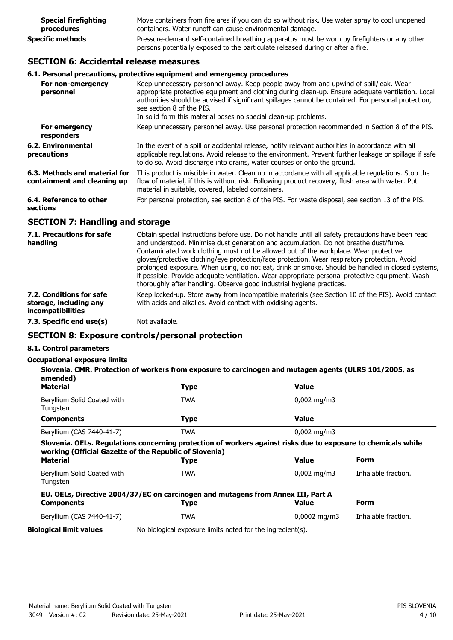| <b>Special firefighting</b>                                                                                                                                                                                | Move containers from fire area if you can do so without risk. Use water spray to cool unopened |  |
|------------------------------------------------------------------------------------------------------------------------------------------------------------------------------------------------------------|------------------------------------------------------------------------------------------------|--|
| procedures                                                                                                                                                                                                 | containers. Water runoff can cause environmental damage.                                       |  |
| Pressure-demand self-contained breathing apparatus must be worn by firefighters or any other<br><b>Specific methods</b><br>persons potentially exposed to the particulate released during or after a fire. |                                                                                                |  |

# **SECTION 6: Accidental release measures**

## **6.1. Personal precautions, protective equipment and emergency procedures**

| For non-emergency<br>personnel                               | Keep unnecessary personnel away. Keep people away from and upwind of spill/leak. Wear<br>appropriate protective equipment and clothing during clean-up. Ensure adequate ventilation. Local<br>authorities should be advised if significant spillages cannot be contained. For personal protection,<br>see section 8 of the PIS.<br>In solid form this material poses no special clean-up problems. |
|--------------------------------------------------------------|----------------------------------------------------------------------------------------------------------------------------------------------------------------------------------------------------------------------------------------------------------------------------------------------------------------------------------------------------------------------------------------------------|
| For emergency<br>responders                                  | Keep unnecessary personnel away. Use personal protection recommended in Section 8 of the PIS.                                                                                                                                                                                                                                                                                                      |
| 6.2. Environmental<br>precautions                            | In the event of a spill or accidental release, notify relevant authorities in accordance with all<br>applicable regulations. Avoid release to the environment. Prevent further leakage or spillage if safe<br>to do so. Avoid discharge into drains, water courses or onto the ground.                                                                                                             |
| 6.3. Methods and material for<br>containment and cleaning up | This product is miscible in water. Clean up in accordance with all applicable requlations. Stop the<br>flow of material, if this is without risk. Following product recovery, flush area with water. Put<br>material in suitable, covered, labeled containers.                                                                                                                                     |
| 6.4. Reference to other<br>sections                          | For personal protection, see section 8 of the PIS. For waste disposal, see section 13 of the PIS.                                                                                                                                                                                                                                                                                                  |

## **SECTION 7: Handling and storage**

| 7.1. Precautions for safe<br>handling                                          | Obtain special instructions before use. Do not handle until all safety precautions have been read<br>and understood. Minimise dust generation and accumulation. Do not breathe dust/fume.<br>Contaminated work clothing must not be allowed out of the workplace. Wear protective<br>gloves/protective clothing/eye protection/face protection. Wear respiratory protection. Avoid<br>prolonged exposure. When using, do not eat, drink or smoke. Should be handled in closed systems,<br>if possible. Provide adequate ventilation. Wear appropriate personal protective equipment. Wash<br>thoroughly after handling. Observe good industrial hygiene practices. |
|--------------------------------------------------------------------------------|--------------------------------------------------------------------------------------------------------------------------------------------------------------------------------------------------------------------------------------------------------------------------------------------------------------------------------------------------------------------------------------------------------------------------------------------------------------------------------------------------------------------------------------------------------------------------------------------------------------------------------------------------------------------|
| 7.2. Conditions for safe<br>storage, including any<br><i>incompatibilities</i> | Keep locked-up. Store away from incompatible materials (see Section 10 of the PIS). Avoid contact<br>with acids and alkalies. Avoid contact with oxidising agents.                                                                                                                                                                                                                                                                                                                                                                                                                                                                                                 |
| 7.3. Specific end use(s)                                                       | Not available.                                                                                                                                                                                                                                                                                                                                                                                                                                                                                                                                                                                                                                                     |

# **SECTION 8: Exposure controls/personal protection**

## **8.1. Control parameters**

## **Occupational exposure limits**

**Slovenia. CMR. Protection of workers from exposure to carcinogen and mutagen agents (ULRS 101/2005, as amended)**

| <b>Material</b>                                                                  | <b>Type</b> | <b>Value</b>                                                                                                  |                     |
|----------------------------------------------------------------------------------|-------------|---------------------------------------------------------------------------------------------------------------|---------------------|
| Beryllium Solid Coated with<br>Tungsten                                          | <b>TWA</b>  | $0,002 \text{ mg/m}$                                                                                          |                     |
| <b>Components</b>                                                                | <b>Type</b> | <b>Value</b>                                                                                                  |                     |
| Beryllium (CAS 7440-41-7)                                                        | <b>TWA</b>  | $0,002 \text{ mg/m}$                                                                                          |                     |
|                                                                                  |             | Slovenia. OELs. Regulations concerning protection of workers against risks due to exposure to chemicals while |                     |
| working (Official Gazette of the Republic of Slovenia)<br><b>Material</b>        | <b>Type</b> | Value                                                                                                         | Form                |
| Beryllium Solid Coated with<br>Tungsten                                          | <b>TWA</b>  | $0,002 \text{ mg/m}$                                                                                          | Inhalable fraction. |
| EU. OELs, Directive 2004/37/EC on carcinogen and mutagens from Annex III, Part A |             |                                                                                                               |                     |
| <b>Components</b>                                                                | <b>Type</b> | Value                                                                                                         | Form                |

**Biological limit values** No biological exposure limits noted for the ingredient(s).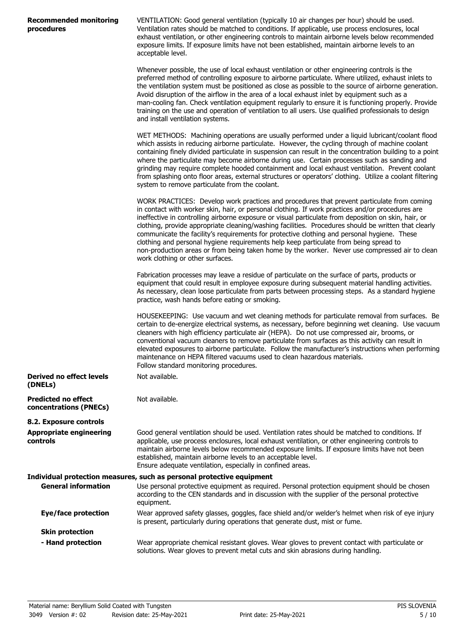| <b>Recommended monitoring</b> |  |
|-------------------------------|--|
| procedures                    |  |

VENTILATION: Good general ventilation (typically 10 air changes per hour) should be used. Ventilation rates should be matched to conditions. If applicable, use process enclosures, local exhaust ventilation, or other engineering controls to maintain airborne levels below recommended exposure limits. If exposure limits have not been established, maintain airborne levels to an acceptable level.

Whenever possible, the use of local exhaust ventilation or other engineering controls is the preferred method of controlling exposure to airborne particulate. Where utilized, exhaust inlets to the ventilation system must be positioned as close as possible to the source of airborne generation. Avoid disruption of the airflow in the area of a local exhaust inlet by equipment such as a man-cooling fan. Check ventilation equipment regularly to ensure it is functioning properly. Provide training on the use and operation of ventilation to all users. Use qualified professionals to design and install ventilation systems.

WET METHODS: Machining operations are usually performed under a liquid lubricant/coolant flood which assists in reducing airborne particulate. However, the cycling through of machine coolant containing finely divided particulate in suspension can result in the concentration building to a point where the particulate may become airborne during use. Certain processes such as sanding and grinding may require complete hooded containment and local exhaust ventilation. Prevent coolant from splashing onto floor areas, external structures or operators' clothing. Utilize a coolant filtering system to remove particulate from the coolant.

WORK PRACTICES: Develop work practices and procedures that prevent particulate from coming in contact with worker skin, hair, or personal clothing. If work practices and/or procedures are ineffective in controlling airborne exposure or visual particulate from deposition on skin, hair, or clothing, provide appropriate cleaning/washing facilities. Procedures should be written that clearly communicate the facility's requirements for protective clothing and personal hygiene. These clothing and personal hygiene requirements help keep particulate from being spread to non-production areas or from being taken home by the worker. Never use compressed air to clean work clothing or other surfaces.

Fabrication processes may leave a residue of particulate on the surface of parts, products or equipment that could result in employee exposure during subsequent material handling activities. As necessary, clean loose particulate from parts between processing steps. As a standard hygiene practice, wash hands before eating or smoking.

HOUSEKEEPING: Use vacuum and wet cleaning methods for particulate removal from surfaces. Be certain to de-energize electrical systems, as necessary, before beginning wet cleaning. Use vacuum cleaners with high efficiency particulate air (HEPA). Do not use compressed air, brooms, or conventional vacuum cleaners to remove particulate from surfaces as this activity can result in elevated exposures to airborne particulate. Follow the manufacturer's instructions when performing maintenance on HEPA filtered vacuums used to clean hazardous materials. Follow standard monitoring procedures.

| Derived no effect levels<br>(DNELs)                  | Not available. |
|------------------------------------------------------|----------------|
| <b>Predicted no effect</b><br>concentrations (PNECs) | Not available. |

**8.2. Exposure controls Appropriate engineering**

**controls**

Good general ventilation should be used. Ventilation rates should be matched to conditions. If applicable, use process enclosures, local exhaust ventilation, or other engineering controls to maintain airborne levels below recommended exposure limits. If exposure limits have not been established, maintain airborne levels to an acceptable level. Ensure adequate ventilation, especially in confined areas. **Individual protection measures, such as personal protective equipment**

#### Use personal protective equipment as required. Personal protection equipment should be chosen according to the CEN standards and in discussion with the supplier of the personal protective equipment. **General information** Wear approved safety glasses, goggles, face shield and/or welder's helmet when risk of eye injury is present, particularly during operations that generate dust, mist or fume. **Eye/face protection Skin protection**

Wear appropriate chemical resistant gloves. Wear gloves to prevent contact with particulate or solutions. Wear gloves to prevent metal cuts and skin abrasions during handling. **- Hand protection**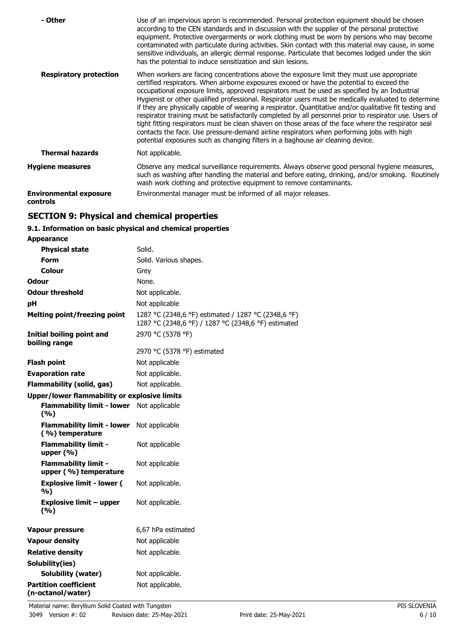| - Other                                   | Use of an impervious apron is recommended. Personal protection equipment should be chosen<br>according to the CEN standards and in discussion with the supplier of the personal protective<br>equipment. Protective overgarments or work clothing must be worn by persons who may become<br>contaminated with particulate during activities. Skin contact with this material may cause, in some<br>sensitive individuals, an allergic dermal response. Particulate that becomes lodged under the skin<br>has the potential to induce sensitization and skin lesions.                                                                                                                                                                                                                                                                                                                                         |
|-------------------------------------------|--------------------------------------------------------------------------------------------------------------------------------------------------------------------------------------------------------------------------------------------------------------------------------------------------------------------------------------------------------------------------------------------------------------------------------------------------------------------------------------------------------------------------------------------------------------------------------------------------------------------------------------------------------------------------------------------------------------------------------------------------------------------------------------------------------------------------------------------------------------------------------------------------------------|
| <b>Respiratory protection</b>             | When workers are facing concentrations above the exposure limit they must use appropriate<br>certified respirators. When airborne exposures exceed or have the potential to exceed the<br>occupational exposure limits, approved respirators must be used as specified by an Industrial<br>Hygienist or other qualified professional. Respirator users must be medically evaluated to determine<br>if they are physically capable of wearing a respirator. Quantitative and/or qualitative fit testing and<br>respirator training must be satisfactorily completed by all personnel prior to respirator use. Users of<br>tight fitting respirators must be clean shaven on those areas of the face where the respirator seal<br>contacts the face. Use pressure-demand airline respirators when performing jobs with high<br>potential exposures such as changing filters in a baghouse air cleaning device. |
| <b>Thermal hazards</b>                    | Not applicable.                                                                                                                                                                                                                                                                                                                                                                                                                                                                                                                                                                                                                                                                                                                                                                                                                                                                                              |
| <b>Hygiene measures</b>                   | Observe any medical surveillance requirements. Always observe good personal hygiene measures,<br>such as washing after handling the material and before eating, drinking, and/or smoking. Routinely<br>wash work clothing and protective equipment to remove contaminants.                                                                                                                                                                                                                                                                                                                                                                                                                                                                                                                                                                                                                                   |
| <b>Environmental exposure</b><br>controls | Environmental manager must be informed of all major releases.                                                                                                                                                                                                                                                                                                                                                                                                                                                                                                                                                                                                                                                                                                                                                                                                                                                |

# **SECTION 9: Physical and chemical properties**

# **9.1. Information on basic physical and chemical properties**

| Appearance                                           |                                                                                                            |
|------------------------------------------------------|------------------------------------------------------------------------------------------------------------|
| <b>Physical state</b>                                | Solid.                                                                                                     |
| <b>Form</b>                                          | Solid. Various shapes.                                                                                     |
| Colour                                               | Grey                                                                                                       |
| <b>Odour</b>                                         | None.                                                                                                      |
| <b>Odour threshold</b>                               | Not applicable.                                                                                            |
| pH                                                   | Not applicable                                                                                             |
| <b>Melting point/freezing point</b>                  | 1287 °C (2348,6 °F) estimated / 1287 °C (2348,6 °F)<br>1287 °C (2348,6 °F) / 1287 °C (2348,6 °F) estimated |
| Initial boiling point and<br>boiling range           | 2970 °C (5378 °F)                                                                                          |
|                                                      | 2970 °C (5378 °F) estimated                                                                                |
| <b>Flash point</b>                                   | Not applicable                                                                                             |
| <b>Evaporation rate</b>                              | Not applicable.                                                                                            |
| <b>Flammability (solid, gas)</b>                     | Not applicable.                                                                                            |
| <b>Upper/lower flammability or explosive limits</b>  |                                                                                                            |
| <b>Flammability limit - lower</b><br>(%)             | Not applicable                                                                                             |
| <b>Flammability limit - lower</b><br>(%) temperature | Not applicable                                                                                             |
| <b>Flammability limit -</b><br>upper $(% )$          | Not applicable                                                                                             |
| <b>Flammability limit -</b><br>upper (%) temperature | Not applicable                                                                                             |
| <b>Explosive limit - lower (</b><br>%)               | Not applicable.                                                                                            |
| <b>Explosive limit - upper</b><br>(9/6)              | Not applicable.                                                                                            |
| <b>Vapour pressure</b>                               | 6,67 hPa estimated                                                                                         |
| <b>Vapour density</b>                                | Not applicable                                                                                             |
| <b>Relative density</b>                              | Not applicable.                                                                                            |
| Solubility(ies)                                      |                                                                                                            |
| Solubility (water)                                   | Not applicable.                                                                                            |
| <b>Partition coefficient</b><br>(n-octanol/water)    | Not applicable.                                                                                            |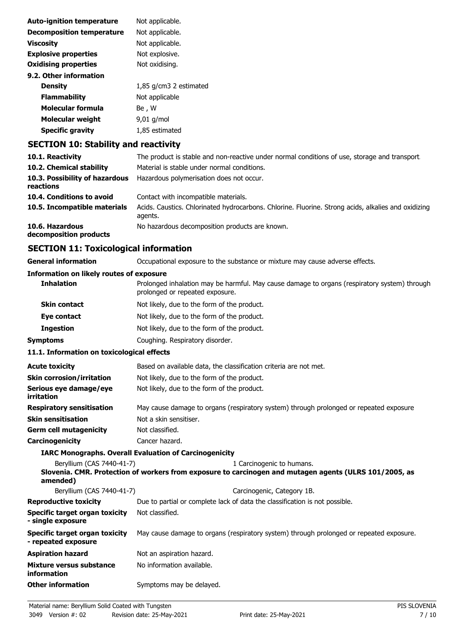| Not applicable.        |
|------------------------|
| Not applicable.        |
| Not applicable.        |
| Not explosive.         |
| Not oxidising.         |
|                        |
| 1,85 g/cm3 2 estimated |
| Not applicable         |
| Be , W                 |
| $9.01$ g/mol           |
| 1,85 estimated         |
|                        |

# **SECTION 10: Stability and reactivity**

| 10.1. Reactivity                            | The product is stable and non-reactive under normal conditions of use, storage and transport.                  |
|---------------------------------------------|----------------------------------------------------------------------------------------------------------------|
| 10.2. Chemical stability                    | Material is stable under normal conditions.                                                                    |
| 10.3. Possibility of hazardous<br>reactions | Hazardous polymerisation does not occur.                                                                       |
| 10.4. Conditions to avoid                   | Contact with incompatible materials.                                                                           |
| 10.5. Incompatible materials                | Acids. Caustics. Chlorinated hydrocarbons. Chlorine. Fluorine. Strong acids, alkalies and oxidizing<br>agents. |
| 10.6. Hazardous<br>decomposition products   | No hazardous decomposition products are known.                                                                 |

# **SECTION 11: Toxicological information**

| <b>General information</b>                            | Occupational exposure to the substance or mixture may cause adverse effects.                                                        |
|-------------------------------------------------------|-------------------------------------------------------------------------------------------------------------------------------------|
| <b>Information on likely routes of exposure</b>       |                                                                                                                                     |
| <b>Inhalation</b>                                     | Prolonged inhalation may be harmful. May cause damage to organs (respiratory system) through<br>prolonged or repeated exposure.     |
| <b>Skin contact</b>                                   | Not likely, due to the form of the product.                                                                                         |
| Eye contact                                           | Not likely, due to the form of the product.                                                                                         |
| <b>Ingestion</b>                                      | Not likely, due to the form of the product.                                                                                         |
| <b>Symptoms</b>                                       | Coughing. Respiratory disorder.                                                                                                     |
| 11.1. Information on toxicological effects            |                                                                                                                                     |
| <b>Acute toxicity</b>                                 | Based on available data, the classification criteria are not met.                                                                   |
| <b>Skin corrosion/irritation</b>                      | Not likely, due to the form of the product.                                                                                         |
| Serious eye damage/eye<br>irritation                  | Not likely, due to the form of the product.                                                                                         |
| <b>Respiratory sensitisation</b>                      | May cause damage to organs (respiratory system) through prolonged or repeated exposure.                                             |
| <b>Skin sensitisation</b>                             | Not a skin sensitiser.                                                                                                              |
| <b>Germ cell mutagenicity</b>                         | Not classified.                                                                                                                     |
| Carcinogenicity                                       | Cancer hazard.                                                                                                                      |
|                                                       | <b>IARC Monographs. Overall Evaluation of Carcinogenicity</b>                                                                       |
| Beryllium (CAS 7440-41-7)<br>amended)                 | 1 Carcinogenic to humans.<br>Slovenia. CMR. Protection of workers from exposure to carcinogen and mutagen agents (ULRS 101/2005, as |
| Beryllium (CAS 7440-41-7)                             | Carcinogenic, Category 1B.                                                                                                          |
| <b>Reproductive toxicity</b>                          | Due to partial or complete lack of data the classification is not possible.                                                         |
| Specific target organ toxicity<br>- single exposure   | Not classified.                                                                                                                     |
| Specific target organ toxicity<br>- repeated exposure | May cause damage to organs (respiratory system) through prolonged or repeated exposure.                                             |
| <b>Aspiration hazard</b>                              | Not an aspiration hazard.                                                                                                           |
| <b>Mixture versus substance</b><br>information        | No information available.                                                                                                           |
| <b>Other information</b>                              | Symptoms may be delayed.                                                                                                            |
|                                                       |                                                                                                                                     |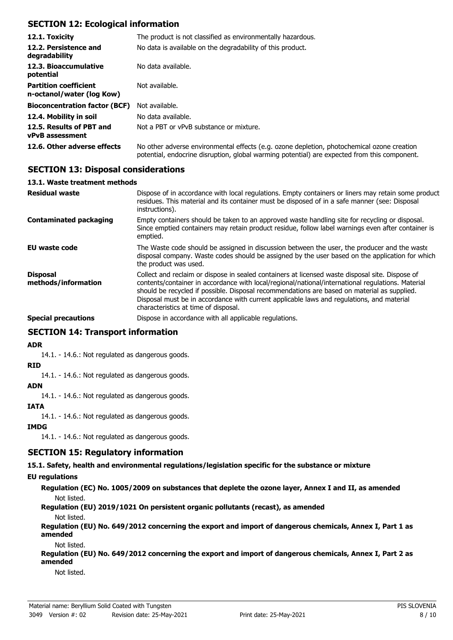# **SECTION 12: Ecological information**

| 12.1. Toxicity                                            | The product is not classified as environmentally hazardous.                                                                                                                                |
|-----------------------------------------------------------|--------------------------------------------------------------------------------------------------------------------------------------------------------------------------------------------|
| 12.2. Persistence and<br>degradability                    | No data is available on the degradability of this product.                                                                                                                                 |
| 12.3. Bioaccumulative<br>potential                        | No data available.                                                                                                                                                                         |
| <b>Partition coefficient</b><br>n-octanol/water (log Kow) | Not available.                                                                                                                                                                             |
| <b>Bioconcentration factor (BCF)</b>                      | Not available.                                                                                                                                                                             |
| 12.4. Mobility in soil                                    | No data available.                                                                                                                                                                         |
| 12.5. Results of PBT and<br><b>vPvB</b> assessment        | Not a PBT or vPvB substance or mixture.                                                                                                                                                    |
| 12.6. Other adverse effects                               | No other adverse environmental effects (e.g. ozone depletion, photochemical ozone creation<br>potential, endocrine disruption, global warming potential) are expected from this component. |

# **SECTION 13: Disposal considerations**

## **13.1. Waste treatment methods**

| <b>Residual waste</b>                  | Dispose of in accordance with local regulations. Empty containers or liners may retain some product<br>residues. This material and its container must be disposed of in a safe manner (see: Disposal<br>instructions).                                                                                                                                                                                                                   |
|----------------------------------------|------------------------------------------------------------------------------------------------------------------------------------------------------------------------------------------------------------------------------------------------------------------------------------------------------------------------------------------------------------------------------------------------------------------------------------------|
| <b>Contaminated packaging</b>          | Empty containers should be taken to an approved waste handling site for recycling or disposal.<br>Since emptied containers may retain product residue, follow label warnings even after container is<br>emptied.                                                                                                                                                                                                                         |
| EU waste code                          | The Waste code should be assigned in discussion between the user, the producer and the waste<br>disposal company. Waste codes should be assigned by the user based on the application for which<br>the product was used.                                                                                                                                                                                                                 |
| <b>Disposal</b><br>methods/information | Collect and reclaim or dispose in sealed containers at licensed waste disposal site. Dispose of<br>contents/container in accordance with local/regional/national/international regulations. Material<br>should be recycled if possible. Disposal recommendations are based on material as supplied.<br>Disposal must be in accordance with current applicable laws and regulations, and material<br>characteristics at time of disposal. |
| <b>Special precautions</b>             | Dispose in accordance with all applicable regulations.                                                                                                                                                                                                                                                                                                                                                                                   |

# **SECTION 14: Transport information**

## **ADR**

14.1. - 14.6.: Not regulated as dangerous goods.

## **RID**

14.1. - 14.6.: Not regulated as dangerous goods.

## **ADN**

14.1. - 14.6.: Not regulated as dangerous goods.

# **IATA**

14.1. - 14.6.: Not regulated as dangerous goods.

## **IMDG**

14.1. - 14.6.: Not regulated as dangerous goods.

# **SECTION 15: Regulatory information**

**15.1. Safety, health and environmental regulations/legislation specific for the substance or mixture**

## **EU regulations**

**Regulation (EC) No. 1005/2009 on substances that deplete the ozone layer, Annex I and II, as amended** Not listed.

**Regulation (EU) 2019/1021 On persistent organic pollutants (recast), as amended**

## Not listed.

**Regulation (EU) No. 649/2012 concerning the export and import of dangerous chemicals, Annex I, Part 1 as amended**

## Not listed.

**Regulation (EU) No. 649/2012 concerning the export and import of dangerous chemicals, Annex I, Part 2 as amended**

Not listed.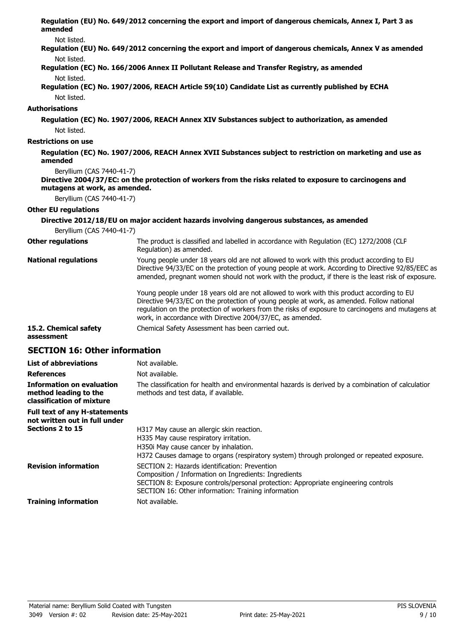**Regulation (EU) No. 649/2012 concerning the export and import of dangerous chemicals, Annex I, Part 3 as amended**

Not listed.

- **Regulation (EU) No. 649/2012 concerning the export and import of dangerous chemicals, Annex V as amended** Not listed.
- **Regulation (EC) No. 166/2006 Annex II Pollutant Release and Transfer Registry, as amended** Not listed.
- **Regulation (EC) No. 1907/2006, REACH Article 59(10) Candidate List as currently published by ECHA** Not listed.

## **Authorisations**

**Regulation (EC) No. 1907/2006, REACH Annex XIV Substances subject to authorization, as amended** Not listed.

## **Restrictions on use**

**Regulation (EC) No. 1907/2006, REACH Annex XVII Substances subject to restriction on marketing and use as amended**

Beryllium (CAS 7440-41-7)

```
Directive 2004/37/EC: on the protection of workers from the risks related to exposure to carcinogens and
mutagens at work, as amended.
```
Beryllium (CAS 7440-41-7)

## **Other EU regulations**

|                                     | Directive 2012/18/EU on major accident hazards involving dangerous substances, as amended                                                                                                                                                                                                                                                                 |
|-------------------------------------|-----------------------------------------------------------------------------------------------------------------------------------------------------------------------------------------------------------------------------------------------------------------------------------------------------------------------------------------------------------|
| Beryllium (CAS 7440-41-7)           |                                                                                                                                                                                                                                                                                                                                                           |
| <b>Other regulations</b>            | The product is classified and labelled in accordance with Regulation (EC) 1272/2008 (CLP<br>Regulation) as amended.                                                                                                                                                                                                                                       |
| <b>National regulations</b>         | Young people under 18 years old are not allowed to work with this product according to EU<br>Directive 94/33/EC on the protection of young people at work. According to Directive 92/85/EEC as<br>amended, pregnant women should not work with the product, if there is the least risk of exposure.                                                       |
|                                     | Young people under 18 years old are not allowed to work with this product according to EU<br>Directive 94/33/EC on the protection of young people at work, as amended. Follow national<br>regulation on the protection of workers from the risks of exposure to carcinogens and mutagens at<br>work, in accordance with Directive 2004/37/EC, as amended. |
| 15.2. Chemical safety<br>assessment | Chemical Safety Assessment has been carried out.                                                                                                                                                                                                                                                                                                          |

# **SECTION 16: Other information**

| <b>List of abbreviations</b>                                                           | Not available.                                                                                                                                                                                                                                      |
|----------------------------------------------------------------------------------------|-----------------------------------------------------------------------------------------------------------------------------------------------------------------------------------------------------------------------------------------------------|
| <b>References</b>                                                                      | Not available.                                                                                                                                                                                                                                      |
| <b>Information on evaluation</b><br>method leading to the<br>classification of mixture | The classification for health and environmental hazards is derived by a combination of calculatior<br>methods and test data, if available.                                                                                                          |
| <b>Full text of any H-statements</b><br>not written out in full under                  |                                                                                                                                                                                                                                                     |
| Sections 2 to 15                                                                       | H317 May cause an allergic skin reaction.<br>H335 May cause respiratory irritation.<br>H350 May cause cancer by inhalation.<br>H372 Causes damage to organs (respiratory system) through prolonged or repeated exposure.                            |
| <b>Revision information</b>                                                            | SECTION 2: Hazards identification: Prevention<br>Composition / Information on Ingredients: Ingredients<br>SECTION 8: Exposure controls/personal protection: Appropriate engineering controls<br>SECTION 16: Other information: Training information |
| <b>Training information</b>                                                            | Not available.                                                                                                                                                                                                                                      |